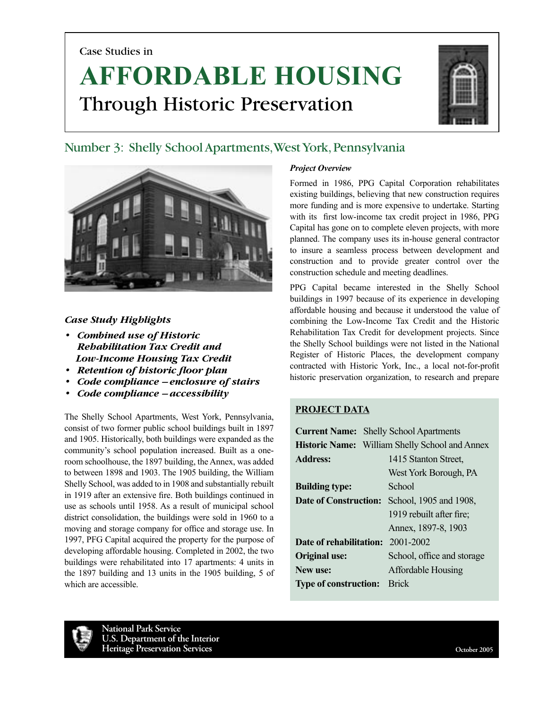Case Studies in

# **AFFORDABLE HOUSING** Through Historic Preservation



## Number 3: Shelly School Apartments, West York, Pennsylvania



## *Case Study Highlights*

- *Combined use of Historic Rehabilitation Tax Credit and Low-Income Housing Tax Credit*
- *Retention of historic floor plan*
- *Code compliance enclosure of stairs*
- *Code compliance accessibility*

The Shelly School Apartments, West York, Pennsylvania, consist of two former public school buildings built in 1897 and 1905. Historically, both buildings were expanded as the community's school population increased. Built as a oneroom schoolhouse, the 1897 building, the Annex, was added to between 1898 and 1903. The 1905 building, the William Shelly School, was added to in 1908 and substantially rebuilt in 1919 after an extensive fire. Both buildings continued in use as schools until 1958. As a result of municipal school district consolidation, the buildings were sold in 1960 to a moving and storage company for office and storage use. In 1997, PFG Capital acquired the property for the purpose of developing affordable housing. Completed in 2002, the two buildings were rehabilitated into 17 apartments: 4 units in the 1897 building and 13 units in the 1905 building, 5 of which are accessible.

## *Project Overview*

Formed in 1986, PPG Capital Corporation rehabilitates existing buildings, believing that new construction requires more funding and is more expensive to undertake. Starting with its first low-income tax credit project in 1986, PPG Capital has gone on to complete eleven projects, with more planned. The company uses its in-house general contractor to insure a seamless process between development and construction and to provide greater control over the construction schedule and meeting deadlines.

PPG Capital became interested in the Shelly School buildings in 1997 because of its experience in developing affordable housing and because it understood the value of combining the Low-Income Tax Credit and the Historic Rehabilitation Tax Credit for development projects. Since the Shelly School buildings were not listed in the National Register of Historic Places, the development company contracted with Historic York, Inc., a local not-for-profit historic preservation organization, to research and prepare

## **PROJECT DATA**

|                              |                                                       | <b>Current Name:</b> Shelly School Apartments |
|------------------------------|-------------------------------------------------------|-----------------------------------------------|
|                              | <b>Historic Name:</b> William Shelly School and Annex |                                               |
| <b>Address:</b>              |                                                       | 1415 Stanton Street,                          |
|                              |                                                       | West York Borough, PA                         |
| <b>Building type:</b>        |                                                       | School                                        |
| Date of Construction:        |                                                       | School, 1905 and 1908,                        |
|                              |                                                       | 1919 rebuilt after fire;                      |
|                              |                                                       | Annex, 1897-8, 1903                           |
| Date of rehabilitation:      |                                                       | 2001-2002                                     |
| <b>Original use:</b>         |                                                       | School, office and storage                    |
| New use:                     |                                                       | <b>Affordable Housing</b>                     |
| <b>Type of construction:</b> |                                                       | <b>Brick</b>                                  |

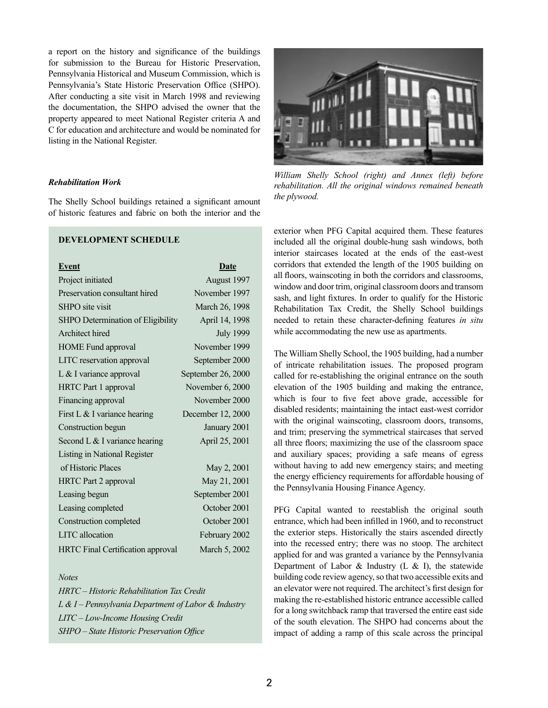a report on the history and significance of the buildings for submission to the Bureau for Historic Preservation, Pennsylvania Historical and Museum Commission, which is Pennsylvania's State Historic Preservation Office (SHPO). After conducting a site visit in March 1998 and reviewing the documentation, the SHPO advised the owner that the property appeared to meet National Register criteria A and C for education and architecture and would be nominated for listing in the National Register.

## *Rehabilitation Work*

The Shelly School buildings retained a significant amount of historic features and fabric on both the interior and the

## **DEVELOPMENT SCHEDULE**

| <b>Event</b>                             | Date               |
|------------------------------------------|--------------------|
| Project initiated                        | August 1997        |
| Preservation consultant hired            | November 1997      |
| <b>SHPO</b> site visit                   | March 26, 1998     |
| SHPO Determination of Eligibility        | April 14, 1998     |
| Architect hired                          | <b>July 1999</b>   |
| <b>HOME</b> Fund approval                | November 1999      |
| LITC reservation approval                | September 2000     |
| $L &$ I variance approval                | September 26, 2000 |
| <b>HRTC</b> Part 1 approval              | November 6, 2000   |
| Financing approval                       | November 2000      |
| First L $&$ I variance hearing           | December 12, 2000  |
| Construction begun                       | January 2001       |
| Second L & I variance hearing            | April 25, 2001     |
| Listing in National Register             |                    |
| of Historic Places                       | May 2, 2001        |
| <b>HRTC</b> Part 2 approval              | May 21, 2001       |
| Leasing begun                            | September 2001     |
| Leasing completed                        | October 2001       |
| Construction completed                   | October 2001       |
| <b>LITC</b> allocation                   | February 2002      |
| <b>HRTC Final Certification approval</b> | March 5, 2002      |

#### *Notes*

*HRTC – Historic Rehabilitation Tax Credit L & I – Pennsylvania Department of Labor & Industry LITC – Low-Income Housing Credit SHPO – State Historic Preservation Office*



*William Shelly School (right) and Annex (left) before rehabilitation. All the original windows remained beneath the plywood.*

exterior when PFG Capital acquired them. These features included all the original double-hung sash windows, both interior staircases located at the ends of the east-west corridors that extended the length of the 1905 building on all floors, wainscoting in both the corridors and classrooms, window and door trim, original classroom doors and transom sash, and light fixtures. In order to qualify for the Historic Rehabilitation Tax Credit, the Shelly School buildings needed to retain these character-defining features *in situ* while accommodating the new use as apartments.

The William Shelly School, the 1905 building, had a number of intricate rehabilitation issues. The proposed program called for re-establishing the original entrance on the south elevation of the 1905 building and making the entrance, which is four to five feet above grade, accessible for disabled residents; maintaining the intact east-west corridor with the original wainscoting, classroom doors, transoms, and trim; preserving the symmetrical staircases that served all three floors; maximizing the use of the classroom space and auxiliary spaces; providing a safe means of egress without having to add new emergency stairs; and meeting the energy efficiency requirements for affordable housing of the Pennsylvania Housing Finance Agency.

PFG Capital wanted to reestablish the original south entrance, which had been infilled in 1960, and to reconstruct the exterior steps. Historically the stairs ascended directly into the recessed entry; there was no stoop. The architect applied for and was granted a variance by the Pennsylvania Department of Labor  $\&$  Industry (L  $\&$  I), the statewide building code review agency, so that two accessible exits and an elevator were not required. The architect's first design for making the re-established historic entrance accessible called for a long switchback ramp that traversed the entire east side of the south elevation. The SHPO had concerns about the impact of adding a ramp of this scale across the principal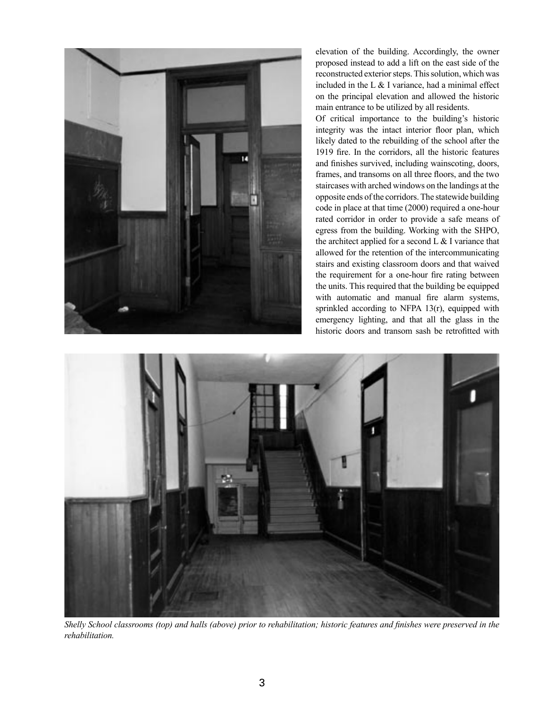

elevation of the building. Accordingly, the owner proposed instead to add a lift on the east side of the reconstructed exterior steps. This solution, which was included in the L  $&$  I variance, had a minimal effect on the principal elevation and allowed the historic main entrance to be utilized by all residents.

Of critical importance to the building's historic integrity was the intact interior floor plan, which likely dated to the rebuilding of the school after the 1919 fire. In the corridors, all the historic features and finishes survived, including wainscoting, doors, frames, and transoms on all three floors, and the two staircases with arched windows on the landings at the opposite ends of the corridors. The statewide building code in place at that time (2000) required a one-hour rated corridor in order to provide a safe means of egress from the building. Working with the SHPO, the architect applied for a second  $L \& I$  variance that allowed for the retention of the intercommunicating stairs and existing classroom doors and that waived the requirement for a one-hour fire rating between the units. This required that the building be equipped with automatic and manual fire alarm systems, sprinkled according to NFPA 13(r), equipped with emergency lighting, and that all the glass in the historic doors and transom sash be retrofitted with



*Shelly School classrooms (top) and halls (above) prior to rehabilitation; historic features and finishes were preserved in the rehabilitation.*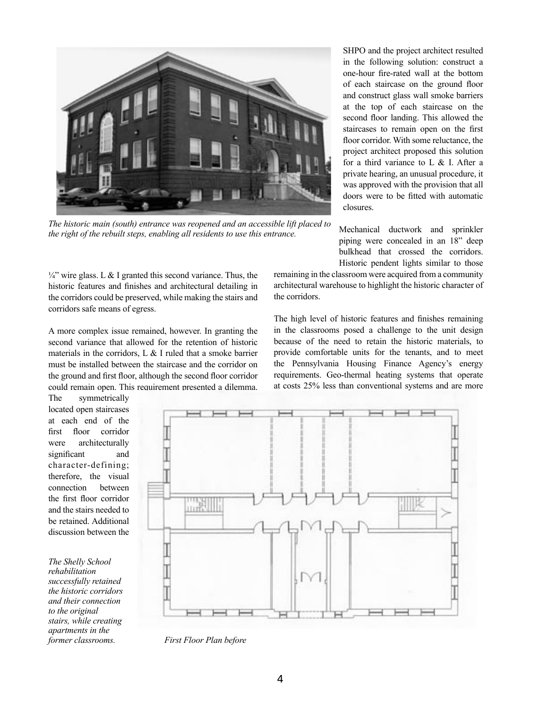

*The historic main (south) entrance was reopened and an accessible lift placed to the right of the rebuilt steps, enabling all residents to use this entrance.* 

 $\frac{1}{4}$ " wire glass. L & I granted this second variance. Thus, the historic features and finishes and architectural detailing in the corridors could be preserved, while making the stairs and corridors safe means of egress.

A more complex issue remained, however. In granting the second variance that allowed for the retention of historic materials in the corridors, L & I ruled that a smoke barrier must be installed between the staircase and the corridor on the ground and first floor, although the second floor corridor could remain open. This requirement presented a dilemma.

The symmetrically located open staircases at each end of the first floor corridor were architecturally significant and character-defining; therefore, the visual connection between the first floor corridor and the stairs needed to be retained. Additional discussion between the

*The Shelly School rehabilitation successfully retained the historic corridors and their connection to the original stairs, while creating apartments in the* 

Ш.

*former classrooms. First Floor Plan before*

SHPO and the project architect resulted in the following solution: construct a one-hour fire-rated wall at the bottom of each staircase on the ground floor and construct glass wall smoke barriers at the top of each staircase on the second floor landing. This allowed the staircases to remain open on the first floor corridor. With some reluctance, the project architect proposed this solution for a third variance to L & I. After a private hearing, an unusual procedure, it was approved with the provision that all doors were to be fitted with automatic closures.

Mechanical ductwork and sprinkler piping were concealed in an 18" deep bulkhead that crossed the corridors. Historic pendent lights similar to those

remaining in the classroom were acquired from a community architectural warehouse to highlight the historic character of the corridors.

The high level of historic features and finishes remaining in the classrooms posed a challenge to the unit design because of the need to retain the historic materials, to provide comfortable units for the tenants, and to meet the Pennsylvania Housing Finance Agency's energy requirements. Geo-thermal heating systems that operate at costs 25% less than conventional systems and are more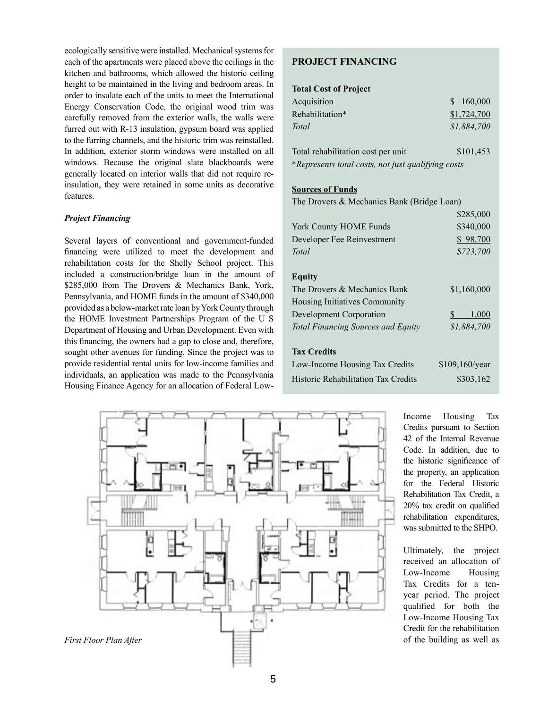ecologically sensitive were installed. Mechanical systems for each of the apartments were placed above the ceilings in the kitchen and bathrooms, which allowed the historic ceiling height to be maintained in the living and bedroom areas. In order to insulate each of the units to meet the International Energy Conservation Code, the original wood trim was carefully removed from the exterior walls, the walls were furred out with R-13 insulation, gypsum board was applied to the furring channels, and the historic trim was reinstalled. In addition, exterior storm windows were installed on all windows. Because the original slate blackboards were generally located on interior walls that did not require reinsulation, they were retained in some units as decorative features.

## *Project Financing*

Several layers of conventional and government-funded financing were utilized to meet the development and rehabilitation costs for the Shelly School project. This included a construction/bridge loan in the amount of \$285,000 from The Drovers & Mechanics Bank, York, Pennsylvania, and HOME funds in the amount of \$340,000 provided as a below-market rate loan by York County through the HOME Investment Partnerships Program of the U S Department of Housing and Urban Development. Even with this financing, the owners had a gap to close and, therefore, sought other avenues for funding. Since the project was to provide residential rental units for low-income families and individuals, an application was made to the Pennsylvania Housing Finance Agency for an allocation of Federal Low-

## **PROJECT FINANCING**

## **Total Cost of Project**

| Acquisition                                        | 160,000     |  |
|----------------------------------------------------|-------------|--|
| Rehabilitation*                                    | \$1,724,700 |  |
| Total                                              | \$1,884,700 |  |
| Total rehabilitation cost per unit                 | \$101,453   |  |
| *Represents total costs, not just qualifying costs |             |  |

## **Sources of Funds**

The Drovers & Mechanics Bank (Bridge Loan)

|                                           | \$285,000      |
|-------------------------------------------|----------------|
| <b>York County HOME Funds</b>             | \$340,000      |
| Developer Fee Reinvestment                | \$98,700       |
| Total                                     | \$723,700      |
|                                           |                |
| Equity                                    |                |
| The Drovers & Mechanics Bank              | \$1,160,000    |
| Housing Initiatives Community             |                |
| Development Corporation                   | S.<br>1,000    |
| <b>Total Financing Sources and Equity</b> | \$1,884,700    |
|                                           |                |
| <b>Tax Credits</b>                        |                |
| Low-Income Housing Tax Credits            | \$109,160/year |
| Historic Rehabilitation Tax Credits       | \$303,162      |
|                                           |                |



Income Housing Tax Credits pursuant to Section 42 of the Internal Revenue Code. In addition, due to the historic significance of the property, an application for the Federal Historic Rehabilitation Tax Credit, a 20% tax credit on qualified rehabilitation expenditures, was submitted to the SHPO.

Ultimately, the project received an allocation of Low-Income Housing Tax Credits for a tenyear period. The project qualified for both the Low-Income Housing Tax Credit for the rehabilitation of the building as well as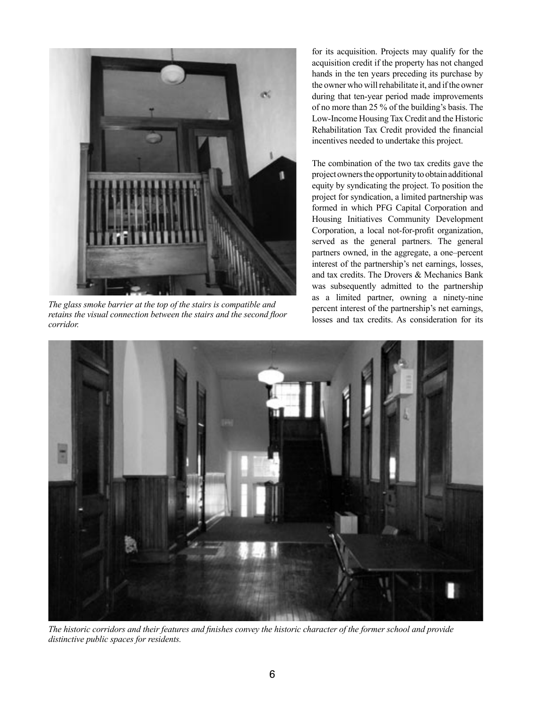

*The glass smoke barrier at the top of the stairs is compatible and retains the visual connection between the stairs and the second floor corridor.* 

for its acquisition. Projects may qualify for the acquisition credit if the property has not changed hands in the ten years preceding its purchase by the owner who will rehabilitate it, and if the owner during that ten-year period made improvements of no more than 25 % of the building's basis. The Low-Income Housing Tax Credit and the Historic Rehabilitation Tax Credit provided the financial incentives needed to undertake this project.

The combination of the two tax credits gave the project owners the opportunity to obtain additional equity by syndicating the project. To position the project for syndication, a limited partnership was formed in which PFG Capital Corporation and Housing Initiatives Community Development Corporation, a local not-for-profit organization, served as the general partners. The general partners owned, in the aggregate, a one–percent interest of the partnership's net earnings, losses, and tax credits. The Drovers & Mechanics Bank was subsequently admitted to the partnership as a limited partner, owning a ninety-nine percent interest of the partnership's net earnings, losses and tax credits. As consideration for its



*The historic corridors and their features and finishes convey the historic character of the former school and provide distinctive public spaces for residents.*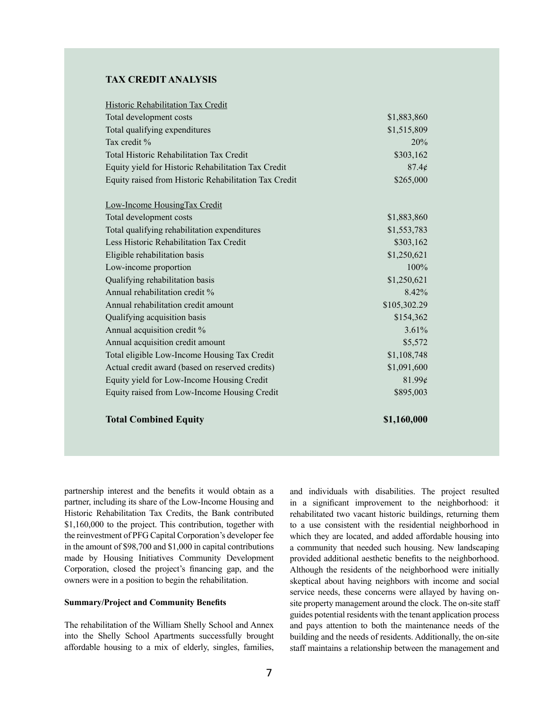## **TAX CREDIT ANALYSIS**

| <b>Total Combined Equity</b>                          | \$1,160,000  |
|-------------------------------------------------------|--------------|
| Equity raised from Low-Income Housing Credit          | \$895,003    |
| Equity yield for Low-Income Housing Credit            | 81.99¢       |
| Actual credit award (based on reserved credits)       | \$1,091,600  |
| Total eligible Low-Income Housing Tax Credit          | \$1,108,748  |
| Annual acquisition credit amount                      | \$5,572      |
| Annual acquisition credit %                           | 3.61%        |
| Qualifying acquisition basis                          | \$154,362    |
| Annual rehabilitation credit amount                   | \$105,302.29 |
| Annual rehabilitation credit %                        | 8.42%        |
| Qualifying rehabilitation basis                       | \$1,250,621  |
| Low-income proportion                                 | 100%         |
| Eligible rehabilitation basis                         | \$1,250,621  |
| Less Historic Rehabilitation Tax Credit               | \$303,162    |
| Total qualifying rehabilitation expenditures          | \$1,553,783  |
| Total development costs                               | \$1,883,860  |
| Low-Income HousingTax Credit                          |              |
| Equity raised from Historic Rehabilitation Tax Credit | \$265,000    |
| Equity yield for Historic Rehabilitation Tax Credit   | 87.4¢        |
| <b>Total Historic Rehabilitation Tax Credit</b>       | \$303,162    |
| Tax credit %                                          | 20%          |
| Total qualifying expenditures                         | \$1,515,809  |
| Total development costs                               | \$1,883,860  |
| Historic Rehabilitation Tax Credit                    |              |

partnership interest and the benefits it would obtain as a partner, including its share of the Low-Income Housing and Historic Rehabilitation Tax Credits, the Bank contributed \$1,160,000 to the project. This contribution, together with the reinvestment of PFG Capital Corporation's developer fee in the amount of \$98,700 and \$1,000 in capital contributions made by Housing Initiatives Community Development Corporation, closed the project's financing gap, and the owners were in a position to begin the rehabilitation.

#### **Summary/Project and Community Benefits**

The rehabilitation of the William Shelly School and Annex into the Shelly School Apartments successfully brought affordable housing to a mix of elderly, singles, families,

and individuals with disabilities. The project resulted in a significant improvement to the neighborhood: it rehabilitated two vacant historic buildings, returning them to a use consistent with the residential neighborhood in which they are located, and added affordable housing into a community that needed such housing. New landscaping provided additional aesthetic benefits to the neighborhood. Although the residents of the neighborhood were initially skeptical about having neighbors with income and social service needs, these concerns were allayed by having onsite property management around the clock. The on-site staff guides potential residents with the tenant application process and pays attention to both the maintenance needs of the building and the needs of residents. Additionally, the on-site staff maintains a relationship between the management and